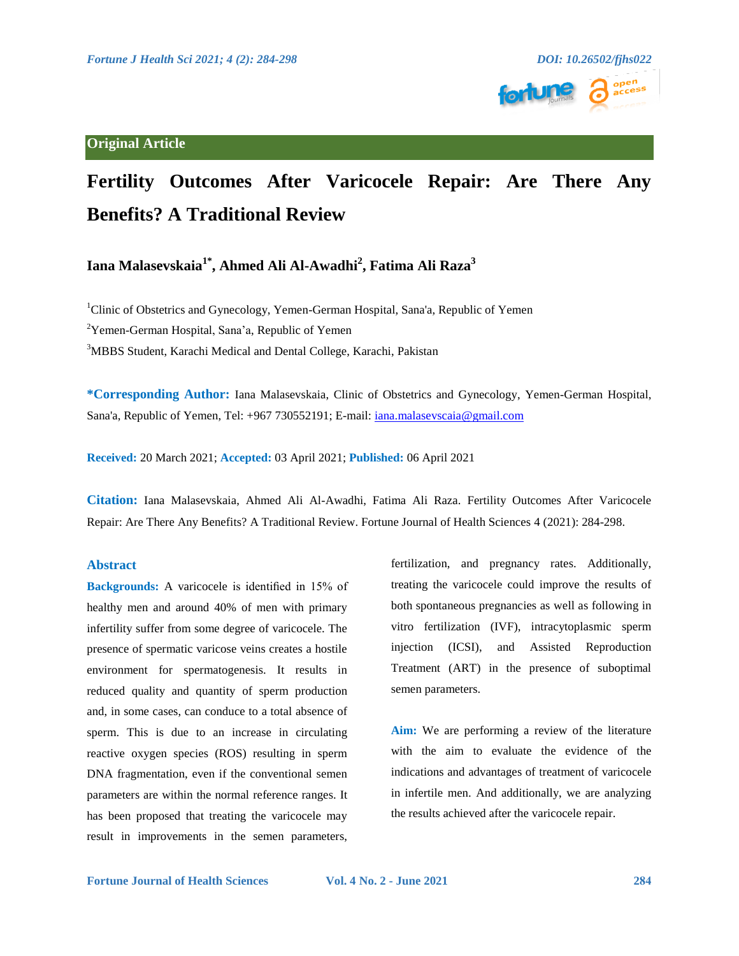

## **Original Article**

# **Fertility Outcomes After Varicocele Repair: Are There Any Benefits? A Traditional Review**

# **Iana Malasevskaia1\*, Ahmed Ali Al-Awadhi2 , Fatima Ali Raza<sup>3</sup>**

<sup>1</sup>Clinic of Obstetrics and Gynecology, Yemen-German Hospital, Sana'a, Republic of Yemen

<sup>2</sup>Yemen-German Hospital, Sana'a, Republic of Yemen

<sup>3</sup>MBBS Student, Karachi Medical and Dental College, Karachi, Pakistan

**\*Corresponding Author:** Iana Malasevskaia, Clinic of Obstetrics and Gynecology, Yemen-German Hospital, Sana'a, Republic of Yemen, Tel: +967 730552191; E-mail: [iana.malasevscaia@gmail.com](mailto:iana.malasevscaia@gmail.com)

**Received:** 20 March 2021; **Accepted:** 03 April 2021; **Published:** 06 April 2021

**Citation:** Iana Malasevskaia, Ahmed Ali Al-Awadhi, Fatima Ali Raza. Fertility Outcomes After Varicocele Repair: Are There Any Benefits? A Traditional Review. Fortune Journal of Health Sciences 4 (2021): 284-298.

### **Abstract**

**Backgrounds:** A varicocele is identified in 15% of healthy men and around 40% of men with primary infertility suffer from some degree of varicocele. The presence of spermatic varicose veins creates a hostile environment for spermatogenesis. It results in reduced quality and quantity of sperm production and, in some cases, can conduce to a total absence of sperm. This is due to an increase in circulating reactive oxygen species (ROS) resulting in sperm DNA fragmentation, even if the conventional semen parameters are within the normal reference ranges. It has been proposed that treating the varicocele may result in improvements in the semen parameters,

fertilization, and pregnancy rates. Additionally, treating the varicocele could improve the results of both spontaneous pregnancies as well as following in vitro fertilization (IVF), intracytoplasmic sperm injection (ICSI), and Assisted Reproduction Treatment (ART) in the presence of suboptimal semen parameters.

**Aim:** We are performing a review of the literature with the aim to evaluate the evidence of the indications and advantages of treatment of varicocele in infertile men. And additionally, we are analyzing the results achieved after the varicocele repair.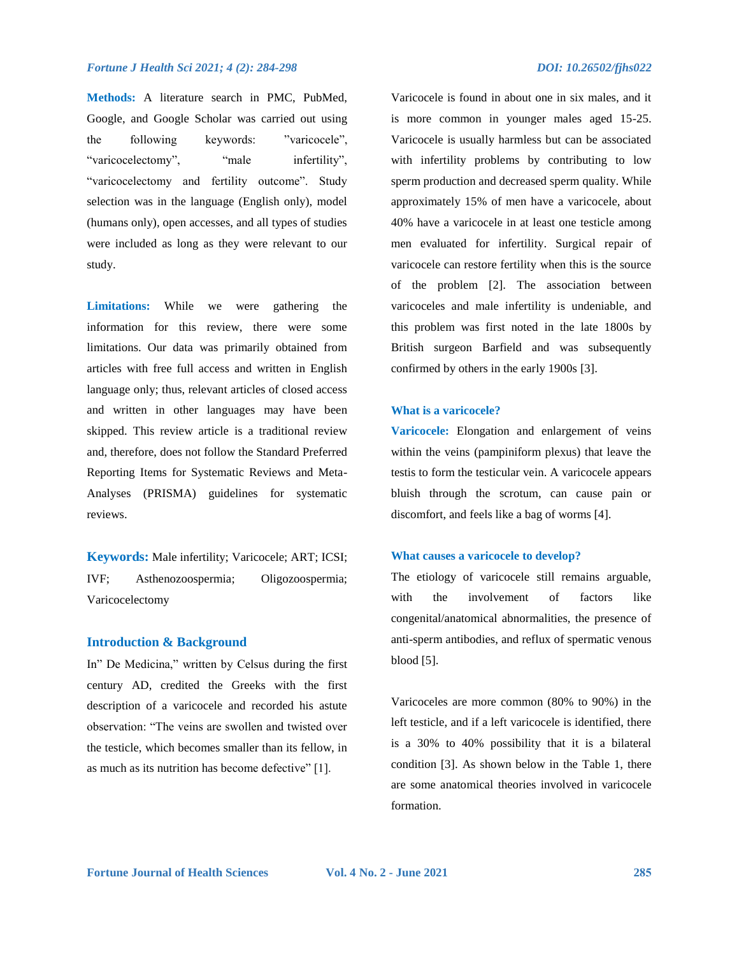**Methods:** A literature search in PMC, PubMed, Google, and Google Scholar was carried out using the following keywords: "varicocele", "varicocelectomy", "male infertility", "varicocelectomy and fertility outcome". Study selection was in the language (English only), model (humans only), open accesses, and all types of studies were included as long as they were relevant to our study.

**Limitations:** While we were gathering the information for this review, there were some limitations. Our data was primarily obtained from articles with free full access and written in English language only; thus, relevant articles of closed access and written in other languages may have been skipped. This review article is a traditional review and, therefore, does not follow the Standard Preferred Reporting Items for Systematic Reviews and Meta-Analyses (PRISMA) guidelines for systematic reviews.

**Keywords:** Male infertility; Varicocele; ART; ICSI; IVF; Asthenozoospermia; Oligozoospermia; Varicocelectomy

#### **Introduction & Background**

In" De Medicina," written by Celsus during the first century AD, credited the Greeks with the first description of a varicocele and recorded his astute observation: "The veins are swollen and twisted over the testicle, which becomes smaller than its fellow, in as much as its nutrition has become defective" [1].

Varicocele is found in about one in six males, and it is more common in younger males aged 15-25. Varicocele is usually harmless but can be associated with infertility problems by contributing to low sperm production and decreased sperm quality. While approximately 15% of men have a varicocele, about 40% have a varicocele in at least one testicle among men evaluated for infertility. Surgical repair of varicocele can restore fertility when this is the source of the problem [2]. The association between varicoceles and male infertility is undeniable, and this problem was first noted in the late 1800s by British surgeon Barfield and was subsequently confirmed by others in the early 1900s [3].

### **What is a varicocele?**

**Varicocele:** Elongation and enlargement of veins within the veins (pampiniform plexus) that leave the testis to form the testicular vein. A varicocele appears bluish through the scrotum, can cause pain or discomfort, and feels like a bag of worms [4].

#### **What causes a varicocele to develop?**

The etiology of varicocele still remains arguable, with the involvement of factors like congenital/anatomical abnormalities, the presence of anti-sperm antibodies, and reflux of spermatic venous blood [5].

Varicoceles are more common (80% to 90%) in the left testicle, and if a left varicocele is identified, there is a 30% to 40% possibility that it is a bilateral condition [3]. As shown below in the Table 1, there are some anatomical theories involved in varicocele formation.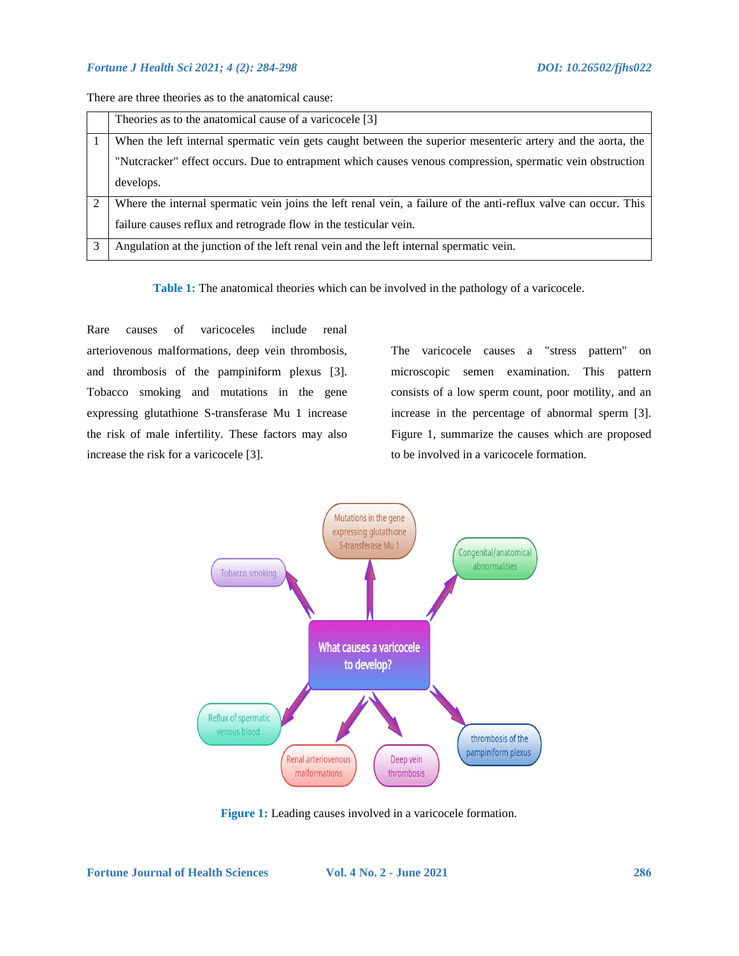There are three theories as to the anatomical cause:

|                | Theories as to the anatomical cause of a varicocele [3]                                                         |
|----------------|-----------------------------------------------------------------------------------------------------------------|
|                | When the left internal spermatic vein gets caught between the superior mesenteric artery and the aorta, the     |
|                | "Nutcracker" effect occurs. Due to entrapment which causes venous compression, spermatic vein obstruction       |
|                | develops.                                                                                                       |
| $\mathfrak{D}$ | Where the internal spermatic vein joins the left renal vein, a failure of the anti-reflux valve can occur. This |
|                | failure causes reflux and retrograde flow in the testicular vein.                                               |
|                | Angulation at the junction of the left renal vein and the left internal spermatic vein.                         |

**Table 1:** The anatomical theories which can be involved in the pathology of a varicocele.

Rare causes of varicoceles include renal arteriovenous malformations, deep vein thrombosis, and thrombosis of the pampiniform plexus [3]. Tobacco smoking and mutations in the gene expressing glutathione S-transferase Mu 1 increase the risk of male infertility. These factors may also increase the risk for a varicocele [3].

The varicocele causes a "stress pattern" on microscopic semen examination. This pattern consists of a low sperm count, poor motility, and an increase in the percentage of abnormal sperm [3]. Figure 1, summarize the causes which are proposed to be involved in a varicocele formation.



Figure 1: Leading causes involved in a varicocele formation.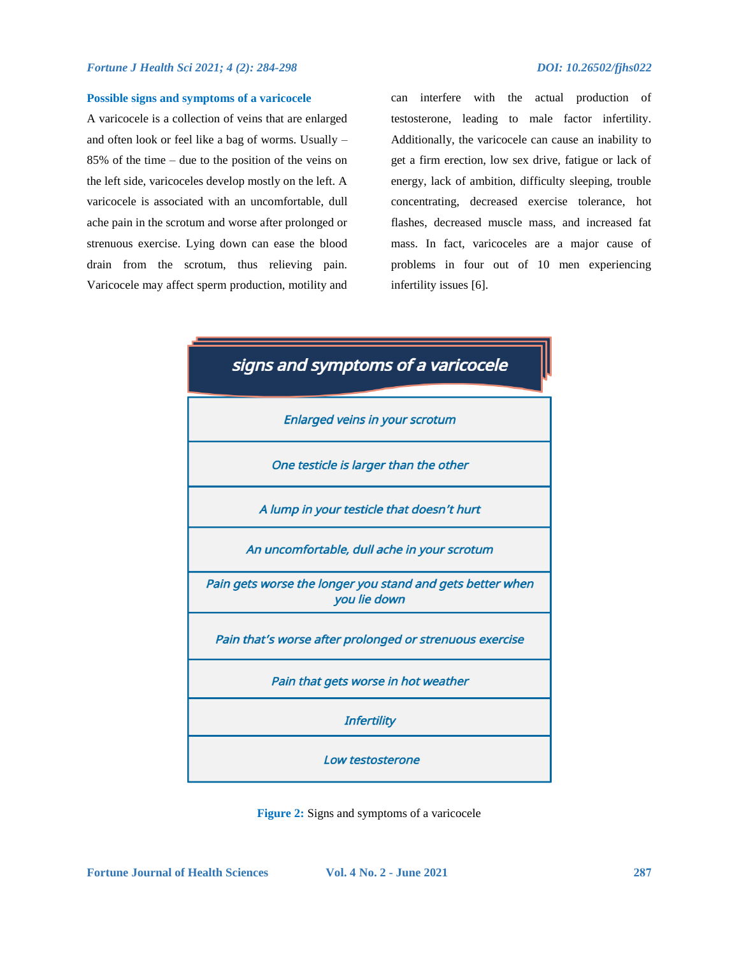#### **Possible signs and symptoms of a varicocele**

A varicocele is a collection of veins that are enlarged and often look or feel like a bag of worms. Usually – 85% of the time – due to the position of the veins on the left side, varicoceles develop mostly on the left. A varicocele is associated with an uncomfortable, dull ache pain in the scrotum and worse after prolonged or strenuous exercise. Lying down can ease the blood drain from the scrotum, thus relieving pain. Varicocele may affect sperm production, motility and

can interfere with the actual production of testosterone, leading to male factor infertility. Additionally, the varicocele can cause an inability to get a firm erection, low sex drive, fatigue or lack of energy, lack of ambition, difficulty sleeping, trouble concentrating, decreased exercise tolerance, hot flashes, decreased muscle mass, and increased fat mass. In fact, varicoceles are a major cause of problems in four out of 10 men experiencing infertility issues [6].



**Figure 2:** Signs and symptoms of a varicocele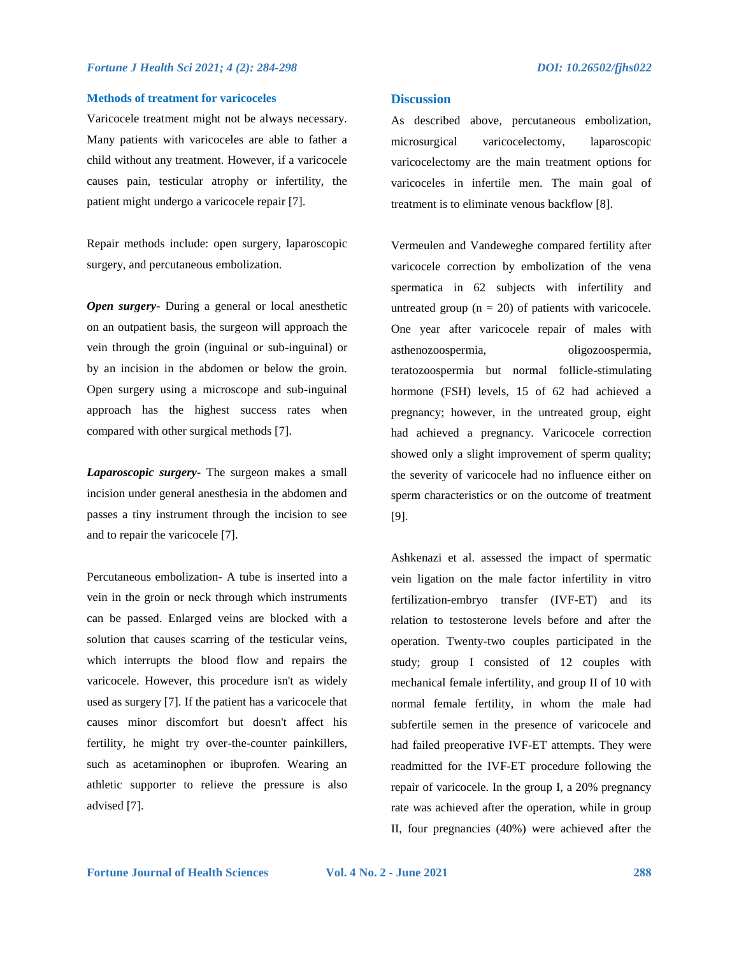#### **Methods of treatment for varicoceles**

Varicocele treatment might not be always necessary. Many patients with varicoceles are able to father a child without any treatment. However, if a varicocele causes pain, testicular atrophy or infertility, the patient might undergo a varicocele repair [7].

Repair methods include: open surgery, laparoscopic surgery, and percutaneous embolization.

*Open surgery***-** During a general or local anesthetic on an outpatient basis, the surgeon will approach the vein through the groin (inguinal or sub-inguinal) or by an incision in the abdomen or below the groin. Open surgery using a microscope and sub-inguinal approach has the highest success rates when compared with other surgical methods [7].

*Laparoscopic surgery***-** The surgeon makes a small incision under general anesthesia in the abdomen and passes a tiny instrument through the incision to see and to repair the varicocele [7].

Percutaneous embolization- A tube is inserted into a vein in the groin or neck through which instruments can be passed. Enlarged veins are blocked with a solution that causes scarring of the testicular veins, which interrupts the blood flow and repairs the varicocele. However, this procedure isn't as widely used as surgery [7]. If the patient has a varicocele that causes minor discomfort but doesn't affect his fertility, he might try over-the-counter painkillers, such as acetaminophen or ibuprofen. Wearing an athletic supporter to relieve the pressure is also advised [7].

### **Discussion**

As described above, percutaneous embolization, microsurgical varicocelectomy, laparoscopic varicocelectomy are the main treatment options for varicoceles in infertile men. The main goal of treatment is to eliminate venous backflow [8].

Vermeulen and Vandeweghe compared fertility after varicocele correction by embolization of the vena spermatica in 62 subjects with infertility and untreated group  $(n = 20)$  of patients with varicocele. One year after varicocele repair of males with asthenozoospermia, oligozoospermia, teratozoospermia but normal follicle-stimulating hormone (FSH) levels, 15 of 62 had achieved a pregnancy; however, in the untreated group, eight had achieved a pregnancy. Varicocele correction showed only a slight improvement of sperm quality; the severity of varicocele had no influence either on sperm characteristics or on the outcome of treatment [9].

[Ashkenazi e](https://pubmed.ncbi.nlm.nih.gov/?term=Ashkenazi+J&cauthor_id=2920846)t al. assessed the impact of spermatic vein ligation on the male factor infertility in vitro fertilization-embryo transfer (IVF-ET) and its relation to testosterone levels before and after the operation. Twenty-two couples participated in the study; group I consisted of 12 couples with mechanical female infertility, and group II of 10 with normal female fertility, in whom the male had subfertile semen in the presence of varicocele and had failed preoperative IVF-ET attempts. They were readmitted for the IVF-ET procedure following the repair of varicocele. In the group I, a 20% pregnancy rate was achieved after the operation, while in group II, four pregnancies (40%) were achieved after the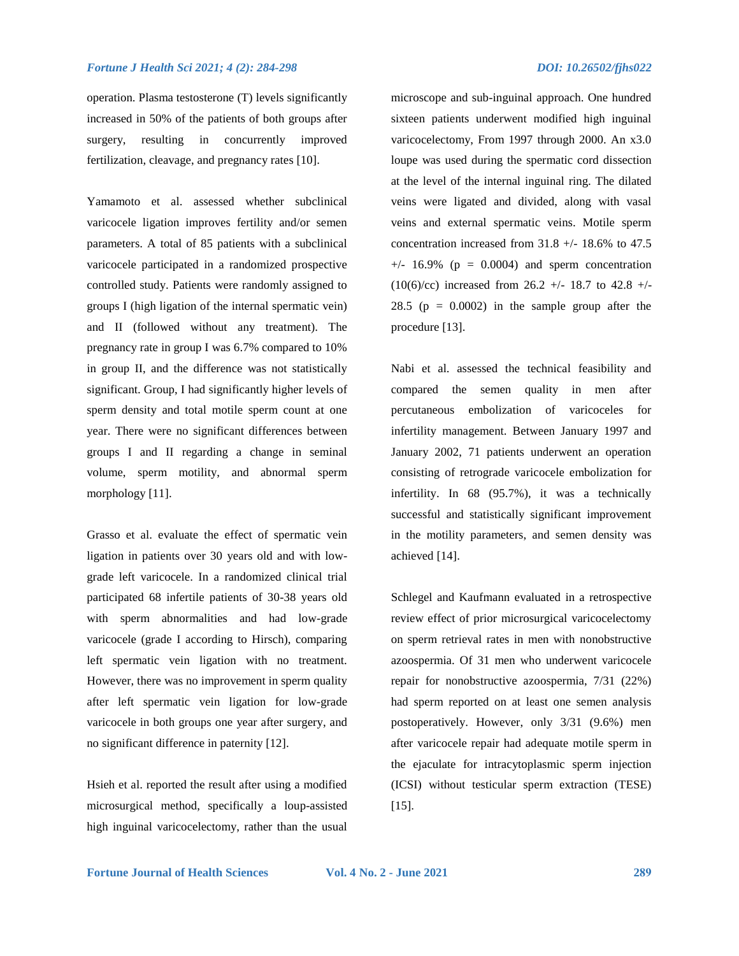operation. Plasma testosterone (T) levels significantly increased in 50% of the patients of both groups after surgery, resulting in concurrently improved fertilization, cleavage, and pregnancy rates [10].

[Yamamoto](https://pubmed.ncbi.nlm.nih.gov/?term=Yamamoto+M&cauthor_id=8627841) et al. assessed whether subclinical varicocele ligation improves fertility and/or semen parameters. A total of 85 patients with a subclinical varicocele participated in a randomized prospective controlled study. Patients were randomly assigned to groups I (high ligation of the internal spermatic vein) and II (followed without any treatment). The pregnancy rate in group I was 6.7% compared to 10% in group II, and the difference was not statistically significant. Group, I had significantly higher levels of sperm density and total motile sperm count at one year. There were no significant differences between groups I and II regarding a change in seminal volume, sperm motility, and abnormal sperm morphology [11].

[Grasso](https://pubmed.ncbi.nlm.nih.gov/?term=Grasso+M&cauthor_id=10671887) et al. evaluate the effect of spermatic vein ligation in patients over 30 years old and with lowgrade left varicocele. In a randomized clinical trial participated 68 infertile patients of 30-38 years old with sperm abnormalities and had low-grade varicocele (grade I according to Hirsch), comparing left spermatic vein ligation with no treatment. However, there was no improvement in sperm quality after left spermatic vein ligation for low-grade varicocele in both groups one year after surgery, and no significant difference in paternity [12].

[Hsieh](https://pubmed.ncbi.nlm.nih.gov/?term=Hsieh+ML&cauthor_id=14515970) et al. reported the result after using a modified microsurgical method, specifically a loup-assisted high inguinal varicocelectomy, rather than the usual

microscope and sub-inguinal approach. One hundred sixteen patients underwent modified high inguinal varicocelectomy, From 1997 through 2000. An x3.0 loupe was used during the spermatic cord dissection at the level of the internal inguinal ring. The dilated veins were ligated and divided, along with vasal veins and external spermatic veins. Motile sperm concentration increased from 31.8 +/- 18.6% to 47.5  $+/-$  16.9% ( $p = 0.0004$ ) and sperm concentration  $(10(6)/cc)$  increased from 26.2 +/- 18.7 to 42.8 +/-28.5 ( $p = 0.0002$ ) in the sample group after the procedure [13].

[Nabi e](https://pubmed.ncbi.nlm.nih.gov/?term=Nabi+G&cauthor_id=14972491)t al. assessed the technical feasibility and compared the semen quality in men after percutaneous embolization of varicoceles for infertility management. Between January 1997 and January 2002, 71 patients underwent an operation consisting of retrograde varicocele embolization for infertility. In 68 (95.7%), it was a technically successful and statistically significant improvement in the motility parameters, and semen density was achieved [14].

[Schlegel](https://pubmed.ncbi.nlm.nih.gov/?term=Schlegel+PN&cauthor_id=15193481) and [Kaufmann](https://pubmed.ncbi.nlm.nih.gov/?term=Kaufmann+J&cauthor_id=15193481) evaluated in a retrospective review effect of prior microsurgical varicocelectomy on sperm retrieval rates in men with nonobstructive azoospermia. Of 31 men who underwent varicocele repair for nonobstructive azoospermia, 7/31 (22%) had sperm reported on at least one semen analysis postoperatively. However, only 3/31 (9.6%) men after varicocele repair had adequate motile sperm in the ejaculate for intracytoplasmic sperm injection (ICSI) without testicular sperm extraction (TESE) [15].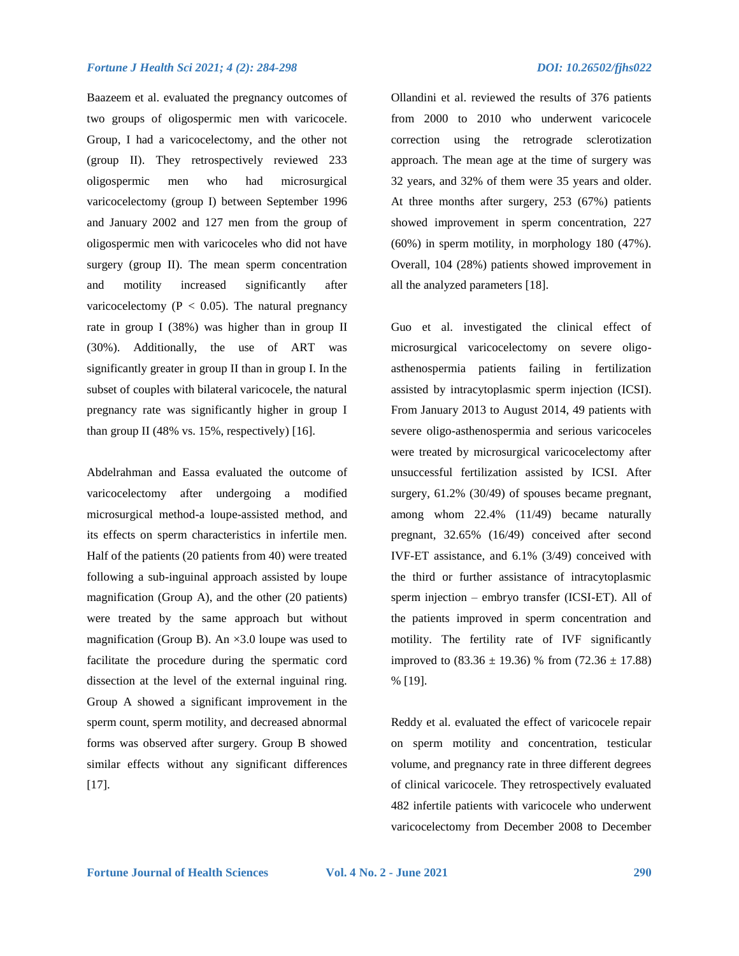[Baazeem e](https://pubmed.ncbi.nlm.nih.gov/?term=Baazeem+A&cauthor_id=19338535)t al. evaluated the pregnancy outcomes of two groups of oligospermic men with varicocele. Group, I had a varicocelectomy, and the other not (group II). They retrospectively reviewed 233 oligospermic men who had microsurgical varicocelectomy (group I) between September 1996 and January 2002 and 127 men from the group of oligospermic men with varicoceles who did not have surgery (group II). The mean sperm concentration and motility increased significantly after varicocelectomy ( $P < 0.05$ ). The natural pregnancy rate in group I (38%) was higher than in group II (30%). Additionally, the use of ART was significantly greater in group II than in group I. In the subset of couples with bilateral varicocele, the natural pregnancy rate was significantly higher in group I than group II (48% vs. 15%, respectively) [16].

[Abdelrahman](https://pubmed.ncbi.nlm.nih.gov/?term=Abdelrahman+SS&cauthor_id=23573481) and [Eassa](https://pubmed.ncbi.nlm.nih.gov/?term=Eassa+BI&cauthor_id=23573481) evaluated the outcome of varicocelectomy after undergoing a modified microsurgical method-a loupe-assisted method, and its effects on sperm characteristics in infertile men. Half of the patients (20 patients from 40) were treated following a sub-inguinal approach assisted by loupe magnification (Group A), and the other (20 patients) were treated by the same approach but without magnification (Group B). An  $\times$ 3.0 loupe was used to facilitate the procedure during the spermatic cord dissection at the level of the external inguinal ring. Group A showed a significant improvement in the sperm count, sperm motility, and decreased abnormal forms was observed after surgery. Group B showed similar effects without any significant differences [17].

[Ollandini](https://pubmed.ncbi.nlm.nih.gov/?term=Ollandini+G&cauthor_id=24634284) et al. reviewed the results of 376 patients from 2000 to 2010 who underwent varicocele correction using the retrograde sclerotization approach. The mean age at the time of surgery was 32 years, and 32% of them were 35 years and older. At three months after surgery, 253 (67%) patients showed improvement in sperm concentration, 227 (60%) in sperm motility, in morphology 180 (47%). Overall, 104 (28%) patients showed improvement in all the analyzed parameters [18].

[Guo](https://pubmed.ncbi.nlm.nih.gov/?term=Guo+TH&cauthor_id=27212155) et al. investigated the clinical effect of microsurgical varicocelectomy on severe oligoasthenospermia patients failing in fertilization assisted by intracytoplasmic sperm injection (ICSI). From January 2013 to August 2014, 49 patients with severe oligo-asthenospermia and serious varicoceles were treated by microsurgical varicocelectomy after unsuccessful fertilization assisted by ICSI. After surgery, 61.2% (30/49) of spouses became pregnant, among whom 22.4% (11/49) became naturally pregnant, 32.65% (16/49) conceived after second IVF-ET assistance, and 6.1% (3/49) conceived with the third or further assistance of intracytoplasmic sperm injection – embryo transfer (ICSI-ET). All of the patients improved in sperm concentration and motility. The fertility rate of IVF significantly improved to  $(83.36 \pm 19.36)$  % from  $(72.36 \pm 17.88)$ % [19].

Reddy et al. evaluated the effect of varicocele repair on sperm motility and concentration, testicular volume, and pregnancy rate in three different degrees of clinical varicocele. They retrospectively evaluated 482 infertile patients with varicocele who underwent varicocelectomy from December 2008 to December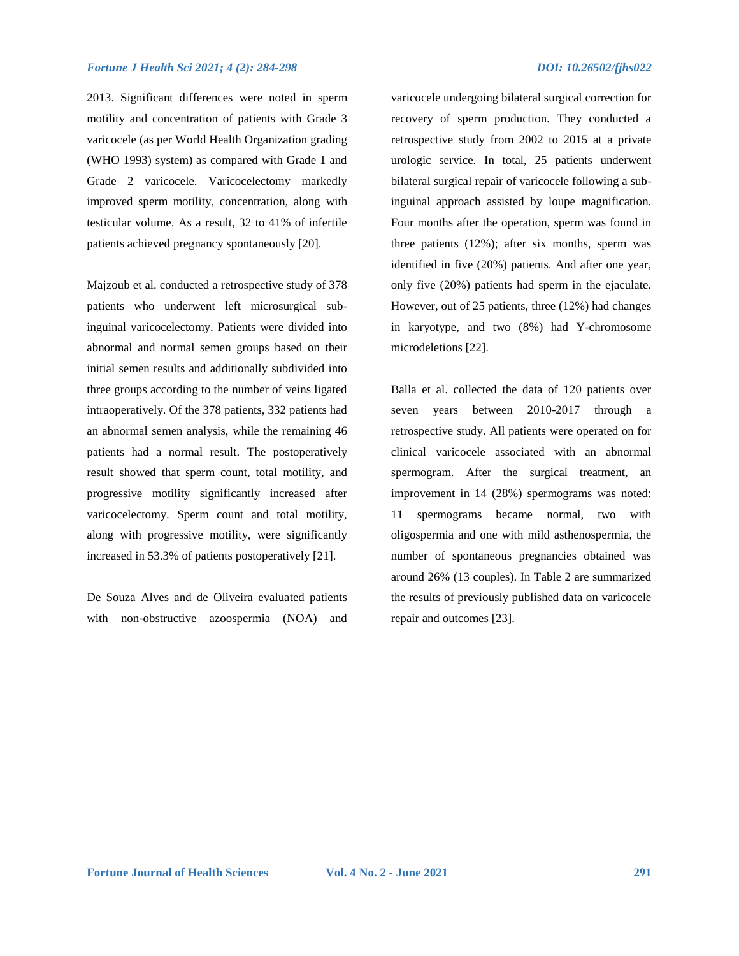2013. Significant differences were noted in sperm motility and concentration of patients with Grade 3 varicocele (as per World Health Organization grading (WHO 1993) system) as compared with Grade 1 and Grade 2 varicocele. Varicocelectomy markedly improved sperm motility, concentration, along with testicular volume. As a result, 32 to 41% of infertile patients achieved pregnancy spontaneously [20].

[Majzoub](https://pubmed.ncbi.nlm.nih.gov/?term=Majzoub+A&cauthor_id=27317389) et al. conducted a retrospective study of 378 patients who underwent left microsurgical subinguinal varicocelectomy. Patients were divided into abnormal and normal semen groups based on their initial semen results and additionally subdivided into three groups according to the number of veins ligated intraoperatively. Of the 378 patients, 332 patients had an abnormal semen analysis, while the remaining 46 patients had a normal result. The postoperatively result showed that sperm count, total motility, and progressive motility significantly increased after varicocelectomy. Sperm count and total motility, along with progressive motility, were significantly increased in 53.3% of patients postoperatively [21].

De Souza Alves and de Oliveira evaluated patients with non-obstructive azoospermia (NOA) and

varicocele undergoing bilateral surgical correction for recovery of sperm production. They conducted a retrospective study from 2002 to 2015 at a private urologic service. In total, 25 patients underwent bilateral surgical repair of varicocele following a subinguinal approach assisted by loupe magnification. Four months after the operation, sperm was found in three patients (12%); after six months, sperm was identified in five (20%) patients. And after one year, only five (20%) patients had sperm in the ejaculate. However, out of 25 patients, three (12%) had changes in karyotype, and two (8%) had Y-chromosome microdeletions [22].

Balla et al. collected the data of 120 patients over seven years between 2010-2017 through a retrospective study. All patients were operated on for clinical varicocele associated with an abnormal spermogram. After the surgical treatment, an improvement in 14 (28%) spermograms was noted: 11 spermograms became normal, two with oligospermia and one with mild asthenospermia, the number of spontaneous pregnancies obtained was around 26% (13 couples). In Table 2 are summarized the results of previously published data on varicocele repair and outcomes [23].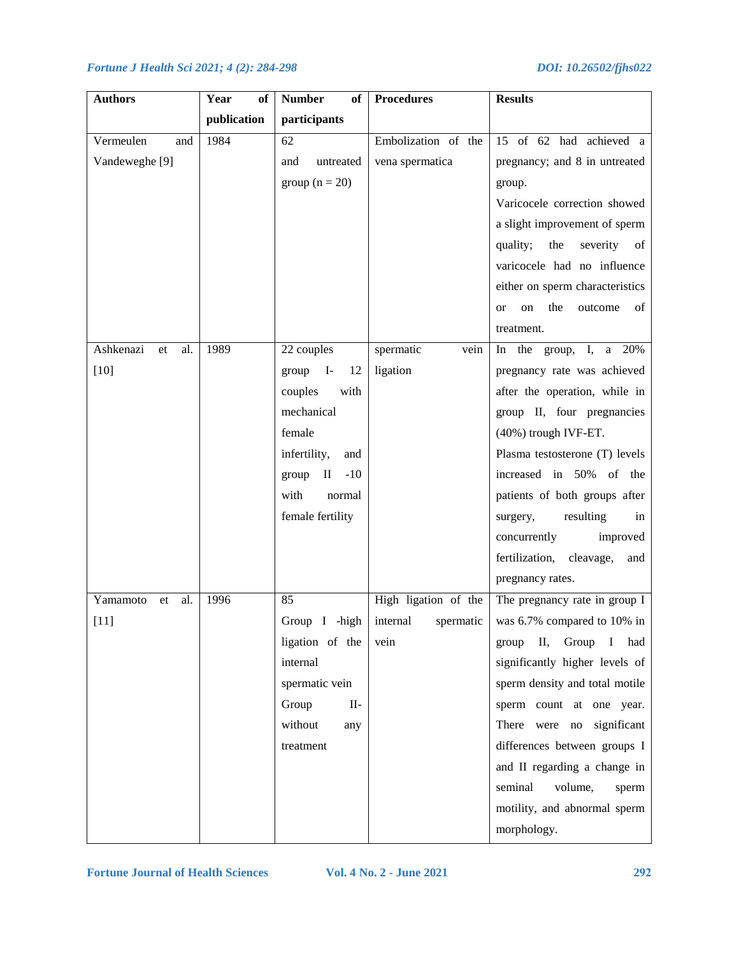| <b>Authors</b>         | Year<br>of  | <b>Number</b><br>of        | <b>Procedures</b>     | <b>Results</b>                          |
|------------------------|-------------|----------------------------|-----------------------|-----------------------------------------|
|                        | publication | participants               |                       |                                         |
| Vermeulen<br>and       | 1984        | 62                         | Embolization of the   | 15 of 62 had achieved a                 |
| Vandeweghe [9]         |             | untreated<br>and           | vena spermatica       | pregnancy; and 8 in untreated           |
|                        |             | group $(n = 20)$           |                       | group.                                  |
|                        |             |                            |                       | Varicocele correction showed            |
|                        |             |                            |                       | a slight improvement of sperm           |
|                        |             |                            |                       | the<br>severity<br>quality;<br>of       |
|                        |             |                            |                       | varicocele had no influence             |
|                        |             |                            |                       | either on sperm characteristics         |
|                        |             |                            |                       | the<br>of<br>outcome<br>on<br><b>or</b> |
|                        |             |                            |                       | treatment.                              |
| Ashkenazi<br>al.<br>et | 1989        | 22 couples                 | spermatic<br>vein     | In the group, I, a 20%                  |
| $[10]$                 |             | $group$ I-<br>12           | ligation              | pregnancy rate was achieved             |
|                        |             | couples<br>with            |                       | after the operation, while in           |
|                        |             | mechanical                 |                       | group II, four pregnancies              |
|                        |             | female                     |                       | (40%) trough IVF-ET.                    |
|                        |             | infertility,<br>and        |                       | Plasma testosterone (T) levels          |
|                        |             | $-10$<br>$\rm II$<br>group |                       | increased in 50% of the                 |
|                        |             | with<br>normal             |                       | patients of both groups after           |
|                        |             | female fertility           |                       | resulting<br>surgery,<br>in             |
|                        |             |                            |                       | concurrently<br>improved                |
|                        |             |                            |                       | fertilization,<br>cleavage,<br>and      |
|                        |             |                            |                       | pregnancy rates.                        |
| Yamamoto<br>al.<br>et  | 1996        | 85                         | High ligation of the  | The pregnancy rate in group I           |
| $[11]$                 |             | Group I -high              | internal<br>spermatic | was 6.7% compared to 10% in             |
|                        |             | ligation of the            | vein                  | Group<br>$\bf{I}$<br>П,<br>had<br>group |
|                        |             | internal                   |                       | significantly higher levels of          |
|                        |             | spermatic vein             |                       | sperm density and total motile          |
|                        |             | Group<br>$II-$             |                       | sperm count at one year.                |
|                        |             | without<br>any             |                       | There were no significant               |
|                        |             | treatment                  |                       | differences between groups I            |
|                        |             |                            |                       | and II regarding a change in            |
|                        |             |                            |                       | seminal<br>volume,<br>sperm             |
|                        |             |                            |                       | motility, and abnormal sperm            |
|                        |             |                            |                       | morphology.                             |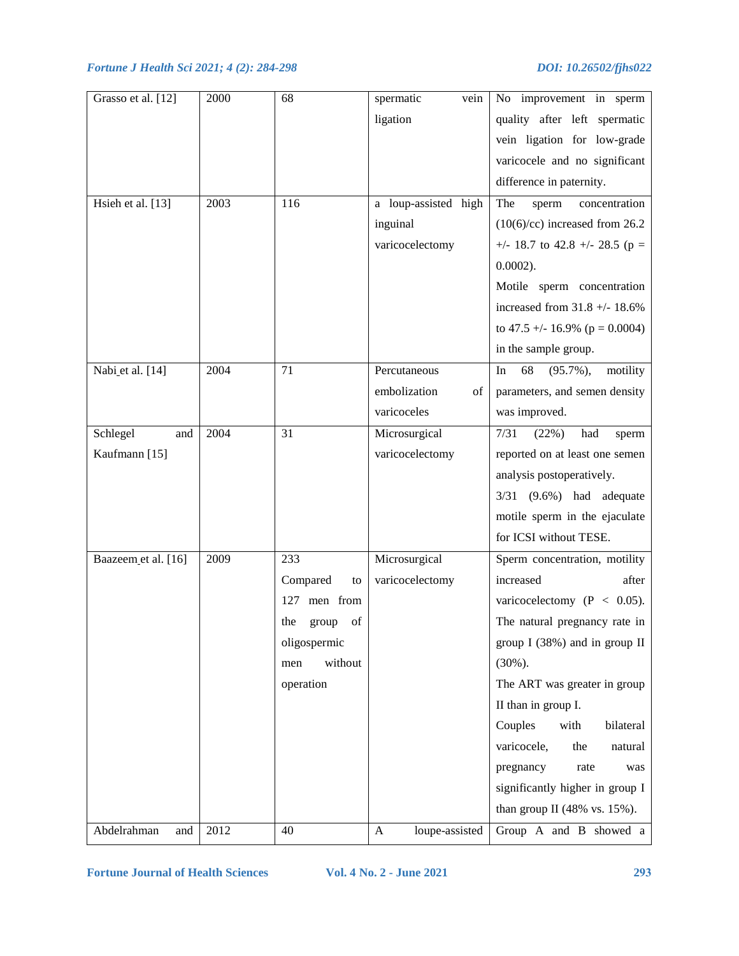| Grasso et al. [12]  | 2000 | 68                 | spermatic<br>vein    | No improvement in sperm              |
|---------------------|------|--------------------|----------------------|--------------------------------------|
|                     |      |                    | ligation             | quality after left spermatic         |
|                     |      |                    |                      | vein ligation for low-grade          |
|                     |      |                    |                      | varicocele and no significant        |
|                     |      |                    |                      | difference in paternity.             |
| Hsieh et al. [13]   | 2003 | 116                | a loup-assisted high | The<br>concentration<br>sperm        |
|                     |      |                    | inguinal             | $(10(6)/cc)$ increased from 26.2     |
|                     |      |                    | varicocelectomy      | +/- 18.7 to 42.8 +/- 28.5 (p =       |
|                     |      |                    |                      | $0.0002$ ).                          |
|                     |      |                    |                      | Motile sperm concentration           |
|                     |      |                    |                      | increased from $31.8 +/- 18.6%$      |
|                     |      |                    |                      | to 47.5 +/- 16.9% ( $p = 0.0004$ )   |
|                     |      |                    |                      | in the sample group.                 |
| Nabi et al. [14]    | 2004 | 71                 | Percutaneous         | 68<br>$(95.7\%)$ ,<br>motility<br>In |
|                     |      |                    | embolization<br>of   | parameters, and semen density        |
|                     |      |                    | varicoceles          | was improved.                        |
| Schlegel<br>and     | 2004 | 31                 | Microsurgical        | 7/31<br>(22%)<br>had<br>sperm        |
| Kaufmann [15]       |      |                    | varicocelectomy      | reported on at least one semen       |
|                     |      |                    |                      | analysis postoperatively.            |
|                     |      |                    |                      | $3/31$ $(9.6\%)$ had adequate        |
|                     |      |                    |                      | motile sperm in the ejaculate        |
|                     |      |                    |                      | for ICSI without TESE.               |
| Baazeem et al. [16] | 2009 | 233                | Microsurgical        | Sperm concentration, motility        |
|                     |      | Compared<br>to     | varicocelectomy      | increased<br>after                   |
|                     |      | men from<br>127    |                      | varicocelectomy ( $P < 0.05$ ).      |
|                     |      | the<br>of<br>group |                      | The natural pregnancy rate in        |
|                     |      | oligospermic       |                      | group I (38%) and in group II        |
|                     |      | without<br>men     |                      | $(30\%)$ .                           |
|                     |      | operation          |                      | The ART was greater in group         |
|                     |      |                    |                      | II than in group I.                  |
|                     |      |                    |                      | Couples<br>with<br>bilateral         |
|                     |      |                    |                      | varicocele,<br>the<br>natural        |
|                     |      |                    |                      | pregnancy<br>rate<br>was             |
|                     |      |                    |                      | significantly higher in group I      |
|                     |      |                    |                      | than group II (48% vs. $15\%$ ).     |
| Abdelrahman<br>and  | 2012 | 40                 | loupe-assisted<br>A  | Group A and B showed a               |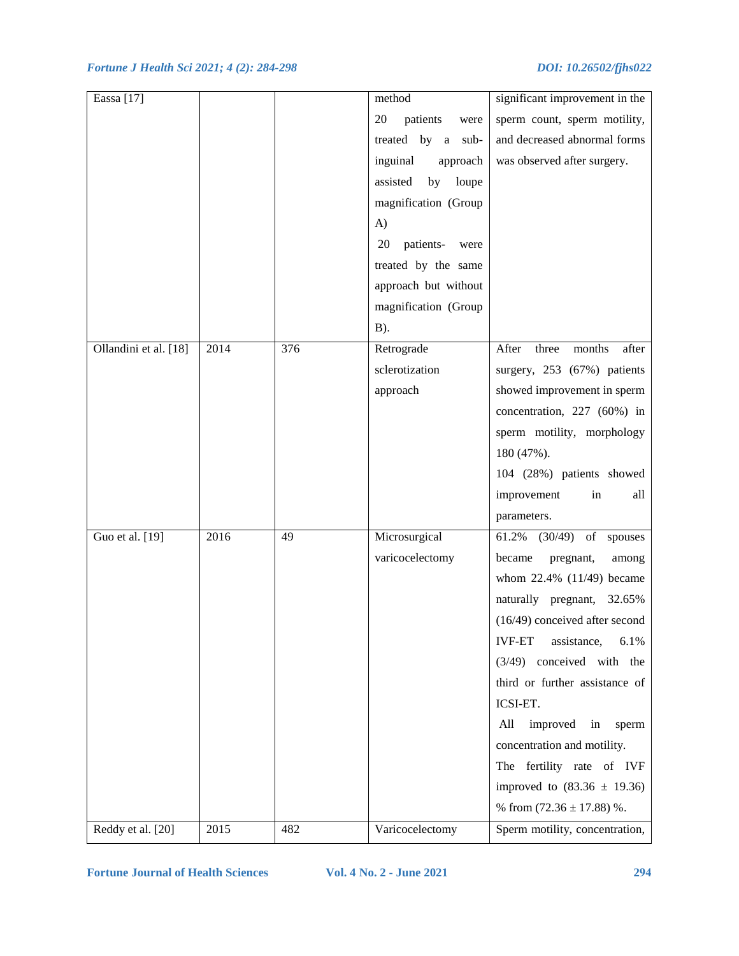| Eassa [17]            |      |     | method                  | significant improvement in the                                                                                                    |
|-----------------------|------|-----|-------------------------|-----------------------------------------------------------------------------------------------------------------------------------|
|                       |      |     | patients<br>20<br>were  | sperm count, sperm motility,                                                                                                      |
|                       |      |     | treated by a<br>sub-    | and decreased abnormal forms                                                                                                      |
|                       |      |     | inguinal<br>approach    | was observed after surgery.                                                                                                       |
|                       |      |     | assisted<br>by<br>loupe |                                                                                                                                   |
|                       |      |     | magnification (Group    |                                                                                                                                   |
|                       |      |     | A)                      |                                                                                                                                   |
|                       |      |     | patients-<br>20<br>were |                                                                                                                                   |
|                       |      |     | treated by the same     |                                                                                                                                   |
|                       |      |     | approach but without    |                                                                                                                                   |
|                       |      |     | magnification (Group    |                                                                                                                                   |
|                       |      |     | $B$ ).                  |                                                                                                                                   |
| Ollandini et al. [18] | 2014 | 376 | Retrograde              | after<br>After<br>three<br>months                                                                                                 |
|                       |      |     | sclerotization          | surgery, 253 (67%) patients                                                                                                       |
|                       |      |     | approach                | showed improvement in sperm                                                                                                       |
|                       |      |     |                         | concentration, 227 (60%) in                                                                                                       |
|                       |      |     |                         | sperm motility, morphology                                                                                                        |
|                       |      |     |                         | 180 (47%).                                                                                                                        |
|                       |      |     |                         | 104 (28%) patients showed                                                                                                         |
|                       |      |     |                         | improvement<br>in<br>all                                                                                                          |
|                       |      |     |                         | parameters.                                                                                                                       |
| Guo et al. [19]       | 2016 | 49  | Microsurgical           | 61.2%<br>(30/49)<br>$% \left( \left( \mathcal{A},\mathcal{A}\right) \right) =\left( \mathcal{A},\mathcal{A}\right)$ of<br>spouses |
|                       |      |     | varicocelectomy         | became<br>pregnant,<br>among                                                                                                      |
|                       |      |     |                         | whom $22.4\%$ (11/49) became                                                                                                      |
|                       |      |     |                         | naturally pregnant, 32.65%                                                                                                        |
|                       |      |     |                         | $(16/49)$ conceived after second                                                                                                  |
|                       |      |     |                         | <b>IVF-ET</b><br>assistance,<br>6.1%                                                                                              |
|                       |      |     |                         | $(3/49)$ conceived with the                                                                                                       |
|                       |      |     |                         | third or further assistance of                                                                                                    |
|                       |      |     |                         | ICSI-ET.                                                                                                                          |
|                       |      |     |                         | improved<br>All<br>in<br>sperm                                                                                                    |
|                       |      |     |                         | concentration and motility.                                                                                                       |
|                       |      |     |                         | The fertility rate of IVF                                                                                                         |
|                       |      |     |                         | improved to $(83.36 \pm 19.36)$                                                                                                   |
|                       |      |     |                         | % from $(72.36 \pm 17.88)$ %.                                                                                                     |
|                       | 2015 | 482 |                         |                                                                                                                                   |
| Reddy et al. [20]     |      |     | Varicocelectomy         | Sperm motility, concentration,                                                                                                    |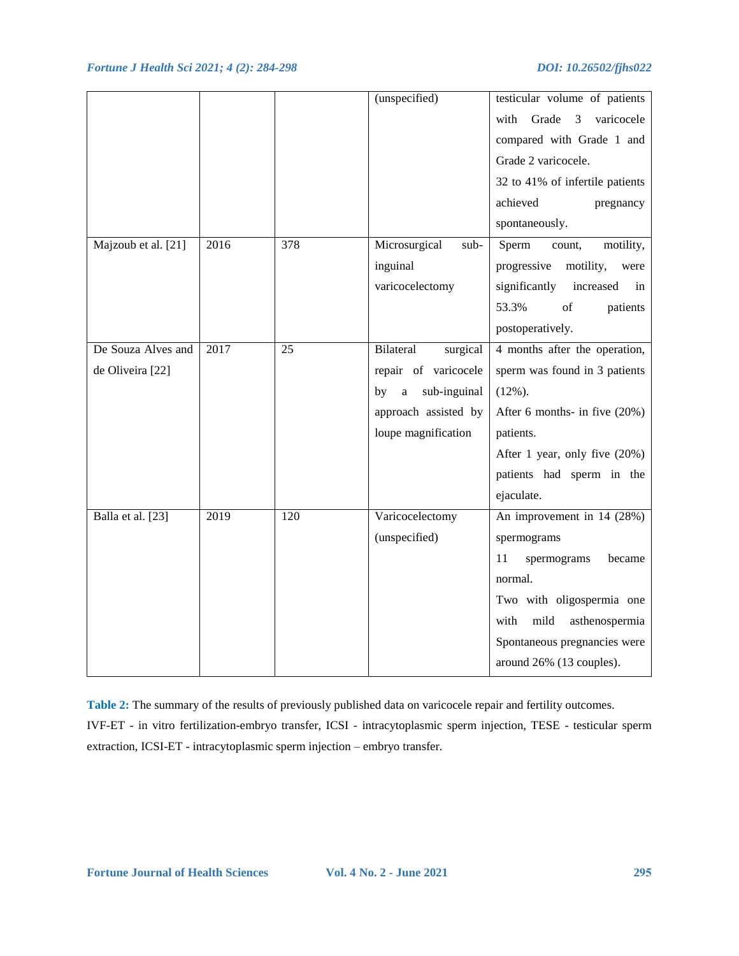|                     |      |     | (unspecified)                  | testicular volume of patients                                                                                           |
|---------------------|------|-----|--------------------------------|-------------------------------------------------------------------------------------------------------------------------|
|                     |      |     |                                |                                                                                                                         |
|                     |      |     |                                | Grade<br>3<br>varicocele<br>with                                                                                        |
|                     |      |     |                                | compared with Grade 1 and                                                                                               |
|                     |      |     |                                | Grade 2 varicocele.                                                                                                     |
|                     |      |     |                                | 32 to 41% of infertile patients                                                                                         |
|                     |      |     |                                | achieved<br>pregnancy                                                                                                   |
|                     |      |     |                                | spontaneously.                                                                                                          |
| Majzoub et al. [21] | 2016 | 378 | Microsurgical<br>sub-          | Sperm<br>motility,<br>count,                                                                                            |
|                     |      |     | inguinal                       | progressive<br>motility,<br>were                                                                                        |
|                     |      |     | varicocelectomy                | significantly<br>increased<br>in                                                                                        |
|                     |      |     |                                | 53.3%<br>$% \left( \left( \mathcal{A},\mathcal{A}\right) \right) =\left( \mathcal{A},\mathcal{A}\right)$ of<br>patients |
|                     |      |     |                                | postoperatively.                                                                                                        |
| De Souza Alves and  | 2017 | 25  | Bilateral<br>surgical          | 4 months after the operation,                                                                                           |
| de Oliveira [22]    |      |     | repair of varicocele           | sperm was found in 3 patients                                                                                           |
|                     |      |     | sub-inguinal<br>by<br>$\rm{a}$ | $(12\%)$ .                                                                                                              |
|                     |      |     | approach assisted by           | After 6 months- in five $(20\%)$                                                                                        |
|                     |      |     | loupe magnification            | patients.                                                                                                               |
|                     |      |     |                                | After 1 year, only five (20%)                                                                                           |
|                     |      |     |                                | patients had sperm in the                                                                                               |
|                     |      |     |                                | ejaculate.                                                                                                              |
| Balla et al. [23]   | 2019 | 120 | Varicocelectomy                | An improvement in 14 (28%)                                                                                              |
|                     |      |     | (unspecified)                  | spermograms                                                                                                             |
|                     |      |     |                                | 11<br>spermograms<br>became                                                                                             |
|                     |      |     |                                | normal.                                                                                                                 |
|                     |      |     |                                | Two with oligospermia one                                                                                               |
|                     |      |     |                                | mild<br>with<br>asthenospermia                                                                                          |
|                     |      |     |                                | Spontaneous pregnancies were                                                                                            |
|                     |      |     |                                | around 26% (13 couples).                                                                                                |
|                     |      |     |                                |                                                                                                                         |

**Table 2:** The summary of the results of previously published data on varicocele repair and fertility outcomes. IVF-ET - in vitro fertilization-embryo transfer, ICSI - intracytoplasmic sperm injection, TESE - testicular sperm extraction, ICSI-ET - intracytoplasmic sperm injection – embryo transfer.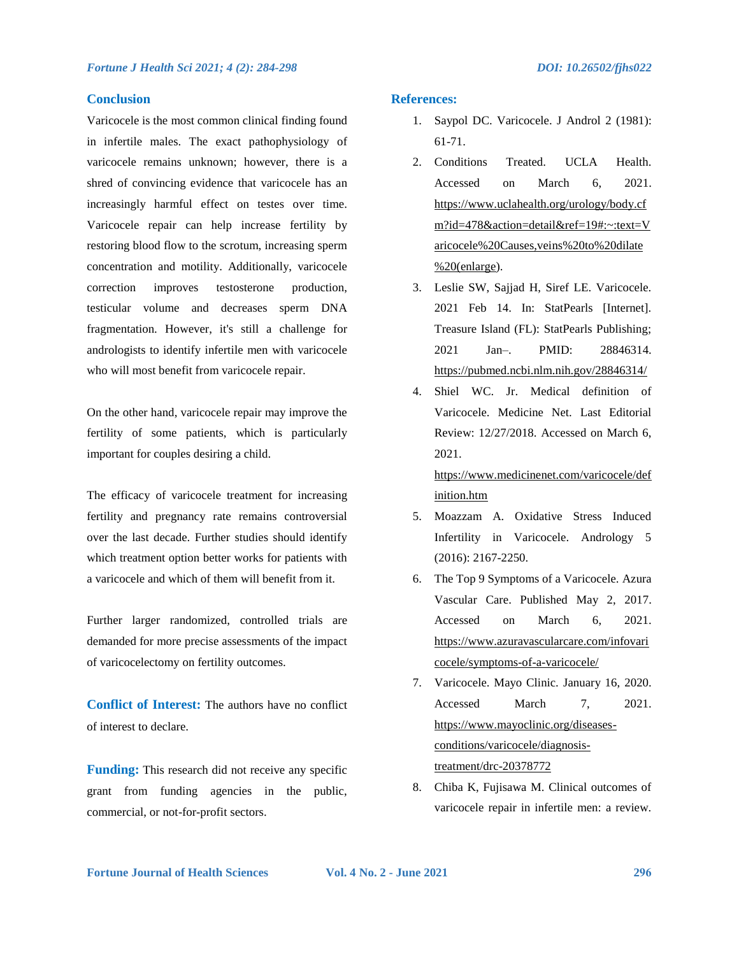### **Conclusion**

Varicocele is the most common clinical finding found in infertile males. The exact pathophysiology of varicocele remains unknown; however, there is a shred of convincing evidence that varicocele has an increasingly harmful effect on testes over time. Varicocele repair can help increase fertility by restoring blood flow to the scrotum, increasing sperm concentration and motility. Additionally, varicocele correction improves testosterone production, testicular volume and decreases sperm DNA fragmentation. However, it's still a challenge for andrologists to identify infertile men with varicocele who will most benefit from varicocele repair.

On the other hand, varicocele repair may improve the fertility of some patients, which is particularly important for couples desiring a child.

The efficacy of varicocele treatment for increasing fertility and pregnancy rate remains controversial over the last decade. Further studies should identify which treatment option better works for patients with a varicocele and which of them will benefit from it.

Further larger randomized, controlled trials are demanded for more precise assessments of the impact of varicocelectomy on fertility outcomes.

**Conflict of Interest:** The authors have no conflict of interest to declare.

**Funding:** This research did not receive any specific grant from funding agencies in the public, commercial, or not-for-profit sectors.

### **References:**

- 1. Saypol DC. Varicocele. J Androl 2 (1981): 61-71.
- 2. Conditions Treated. UCLA Health. Accessed on March 6, 2021. [https://www.uclahealth.org/urology/body.cf](https://www.uclahealth.org/urology/body.cfm?id=478&action=detail&ref=19#:~:text=Varicocele%20Causes,veins%20to%20dilate%20(enlarge) [m?id=478&action=detail&ref=19#:~:text=V](https://www.uclahealth.org/urology/body.cfm?id=478&action=detail&ref=19#:~:text=Varicocele%20Causes,veins%20to%20dilate%20(enlarge) [aricocele%20Causes,veins%20to%20dilate](https://www.uclahealth.org/urology/body.cfm?id=478&action=detail&ref=19#:~:text=Varicocele%20Causes,veins%20to%20dilate%20(enlarge) [%20\(enlarge\)](https://www.uclahealth.org/urology/body.cfm?id=478&action=detail&ref=19#:~:text=Varicocele%20Causes,veins%20to%20dilate%20(enlarge).
- 3. Leslie SW, Sajjad H, Siref LE. Varicocele. 2021 Feb 14. In: StatPearls [Internet]. Treasure Island (FL): StatPearls Publishing; 2021 Jan–. PMID: 28846314. <https://pubmed.ncbi.nlm.nih.gov/28846314/>
- 4. [Shiel WC. Jr.](https://www.medicinenet.com/script/main/art.asp?articlekey=6882) Medical definition of Varicocele. Medicine Net. Last Editorial Review: 12/27/2018. Accessed on March 6, 2021.

[https://www.medicinenet.com/varicocele/def](https://www.medicinenet.com/varicocele/definition.htm) [inition.htm](https://www.medicinenet.com/varicocele/definition.htm)

- 5. Moazzam A. Oxidative Stress Induced Infertility in Varicocele. Andrology 5 (2016): 2167-2250.
- 6. The Top 9 Symptoms of a Varicocele[. Azura](https://www.azuravascularcare.com/author/azura-vascular-care/)  [Vascular Care.](https://www.azuravascularcare.com/author/azura-vascular-care/) Published May 2, 2017. Accessed on March 6, 2021. [https://www.azuravascularcare.com/infovari](https://www.azuravascularcare.com/infovaricocele/symptoms-of-a-varicocele/) [cocele/symptoms-of-a-varicocele/](https://www.azuravascularcare.com/infovaricocele/symptoms-of-a-varicocele/)
- 7. Varicocele. Mayo Clinic. January 16, 2020. Accessed March 7, 2021. [https://www.mayoclinic.org/diseases](https://www.mayoclinic.org/diseases-conditions/varicocele/diagnosis-treatment/drc-20378772)[conditions/varicocele/diagnosis](https://www.mayoclinic.org/diseases-conditions/varicocele/diagnosis-treatment/drc-20378772)[treatment/drc-20378772](https://www.mayoclinic.org/diseases-conditions/varicocele/diagnosis-treatment/drc-20378772)
- 8. Chiba K, Fujisawa M. Clinical outcomes of varicocele repair in infertile men: a review.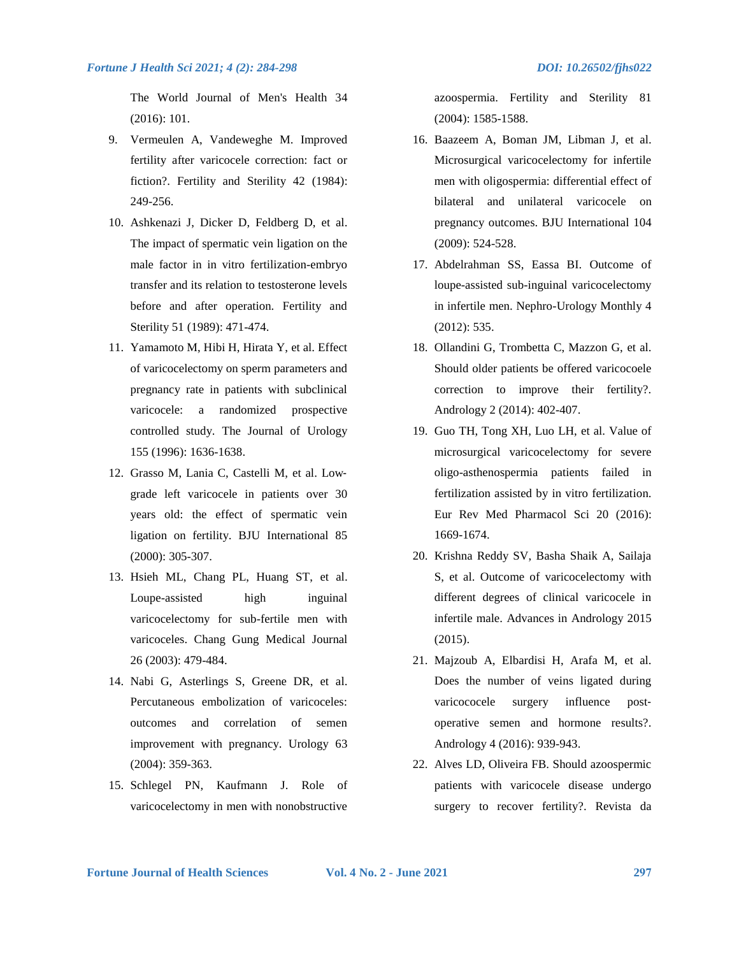The World Journal of Men's Health 34 (2016): 101.

- 9. Vermeulen A, Vandeweghe M. Improved fertility after varicocele correction: fact or fiction?. Fertility and Sterility 42 (1984): 249-256.
- 10. Ashkenazi J, Dicker D, Feldberg D, et al. The impact of spermatic vein ligation on the male factor in in vitro fertilization-embryo transfer and its relation to testosterone levels before and after operation. Fertility and Sterility 51 (1989): 471-474.
- 11. Yamamoto M, Hibi H, Hirata Y, et al. Effect of varicocelectomy on sperm parameters and pregnancy rate in patients with subclinical varicocele: a randomized prospective controlled study. The Journal of Urology 155 (1996): 1636-1638.
- 12. Grasso M, Lania C, Castelli M, et al. Low‐ grade left varicocele in patients over 30 years old: the effect of spermatic vein ligation on fertility. BJU International 85 (2000): 305-307.
- 13. Hsieh ML, Chang PL, Huang ST, et al. Loupe-assisted high inguinal varicocelectomy for sub-fertile men with varicoceles. Chang Gung Medical Journal 26 (2003): 479-484.
- 14. Nabi G, Asterlings S, Greene DR, et al. Percutaneous embolization of varicoceles: outcomes and correlation of semen improvement with pregnancy. Urology 63 (2004): 359-363.
- 15. Schlegel PN, Kaufmann J. Role of varicocelectomy in men with nonobstructive

azoospermia. Fertility and Sterility 81 (2004): 1585-1588.

- 16. Baazeem A, Boman JM, Libman J, et al. Microsurgical varicocelectomy for infertile men with oligospermia: differential effect of bilateral and unilateral varicocele on pregnancy outcomes. BJU International 104 (2009): 524-528.
- 17. Abdelrahman SS, Eassa BI. Outcome of loupe-assisted sub-inguinal varicocelectomy in infertile men. Nephro-Urology Monthly 4 (2012): 535.
- 18. Ollandini G, Trombetta C, Mazzon G, et al. Should older patients be offered varicocoele correction to improve their fertility?. Andrology 2 (2014): 402-407.
- 19. Guo TH, Tong XH, Luo LH, et al. Value of microsurgical varicocelectomy for severe oligo-asthenospermia patients failed in fertilization assisted by in vitro fertilization. Eur Rev Med Pharmacol Sci 20 (2016): 1669-1674.
- 20. Krishna Reddy SV, Basha Shaik A, Sailaja S, et al. Outcome of varicocelectomy with different degrees of clinical varicocele in infertile male. Advances in Andrology 2015 (2015).
- 21. Majzoub A, Elbardisi H, Arafa M, et al. Does the number of veins ligated during varicococele surgery influence postoperative semen and hormone results?. Andrology 4 (2016): 939-943.
- 22. Alves LD, Oliveira FB. Should azoospermic patients with varicocele disease undergo surgery to recover fertility?. Revista da